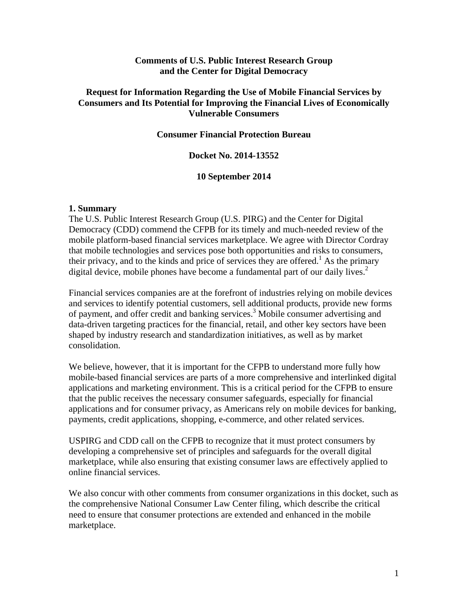# **Comments of U.S. Public Interest Research Group and the Center for Digital Democracy**

# **Request for Information Regarding the Use of Mobile Financial Services by Consumers and Its Potential for Improving the Financial Lives of Economically Vulnerable Consumers**

## **Consumer Financial Protection Bureau**

# **Docket No. 2014-13552**

## **10 September 2014**

## **1. Summary**

The U.S. Public Interest Research Group (U.S. PIRG) and the Center for Digital Democracy (CDD) commend the CFPB for its timely and much-needed review of the mobile platform-based financial services marketplace. We agree with Director Cordray that mobile technologies and services pose both opportunities and risks to consumers, their privacy, and to the kinds and price of services they are offered.<sup>1</sup> As the primary digital device, mobile phones have become a fundamental part of our daily lives.<sup>2</sup>

Financial services companies are at the forefront of industries relying on mobile devices and services to identify potential customers, sell additional products, provide new forms of payment, and offer credit and banking services.<sup>3</sup> Mobile consumer advertising and data-driven targeting practices for the financial, retail, and other key sectors have been shaped by industry research and standardization initiatives, as well as by market consolidation.

We believe, however, that it is important for the CFPB to understand more fully how mobile-based financial services are parts of a more comprehensive and interlinked digital applications and marketing environment. This is a critical period for the CFPB to ensure that the public receives the necessary consumer safeguards, especially for financial applications and for consumer privacy, as Americans rely on mobile devices for banking, payments, credit applications, shopping, e-commerce, and other related services.

USPIRG and CDD call on the CFPB to recognize that it must protect consumers by developing a comprehensive set of principles and safeguards for the overall digital marketplace, while also ensuring that existing consumer laws are effectively applied to online financial services.

We also concur with other comments from consumer organizations in this docket, such as the comprehensive National Consumer Law Center filing, which describe the critical need to ensure that consumer protections are extended and enhanced in the mobile marketplace.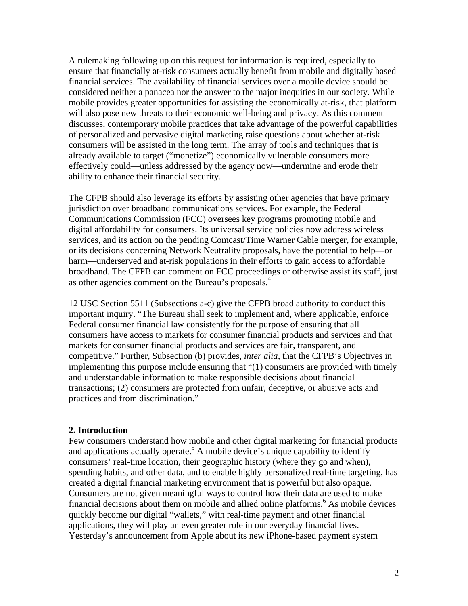A rulemaking following up on this request for information is required, especially to ensure that financially at-risk consumers actually benefit from mobile and digitally based financial services. The availability of financial services over a mobile device should be considered neither a panacea nor the answer to the major inequities in our society. While mobile provides greater opportunities for assisting the economically at-risk, that platform will also pose new threats to their economic well-being and privacy. As this comment discusses, contemporary mobile practices that take advantage of the powerful capabilities of personalized and pervasive digital marketing raise questions about whether at-risk consumers will be assisted in the long term. The array of tools and techniques that is already available to target ("monetize") economically vulnerable consumers more effectively could—unless addressed by the agency now—undermine and erode their ability to enhance their financial security.

The CFPB should also leverage its efforts by assisting other agencies that have primary jurisdiction over broadband communications services. For example, the Federal Communications Commission (FCC) oversees key programs promoting mobile and digital affordability for consumers. Its universal service policies now address wireless services, and its action on the pending Comcast/Time Warner Cable merger, for example, or its decisions concerning Network Neutrality proposals, have the potential to help—or harm—underserved and at-risk populations in their efforts to gain access to affordable broadband. The CFPB can comment on FCC proceedings or otherwise assist its staff, just as other agencies comment on the Bureau's proposals.<sup>4</sup>

12 USC Section 5511 (Subsections a-c) give the CFPB broad authority to conduct this important inquiry. "The Bureau shall seek to implement and, where applicable, enforce Federal consumer financial law consistently for the purpose of ensuring that all consumers have access to markets for consumer financial products and services and that markets for consumer financial products and services are fair, transparent, and competitive." Further, Subsection (b) provides, *inter alia*, that the CFPB's Objectives in implementing this purpose include ensuring that "(1) consumers are provided with timely and understandable information to make responsible decisions about financial transactions; (2) consumers are protected from unfair, deceptive, or abusive acts and practices and from discrimination."

#### **2. Introduction**

Few consumers understand how mobile and other digital marketing for financial products and applications actually operate.<sup>5</sup> A mobile device's unique capability to identify consumers' real-time location, their geographic history (where they go and when), spending habits, and other data, and to enable highly personalized real-time targeting, has created a digital financial marketing environment that is powerful but also opaque. Consumers are not given meaningful ways to control how their data are used to make financial decisions about them on mobile and allied online platforms.<sup>6</sup> As mobile devices quickly become our digital "wallets," with real-time payment and other financial applications, they will play an even greater role in our everyday financial lives. Yesterday's announcement from Apple about its new iPhone-based payment system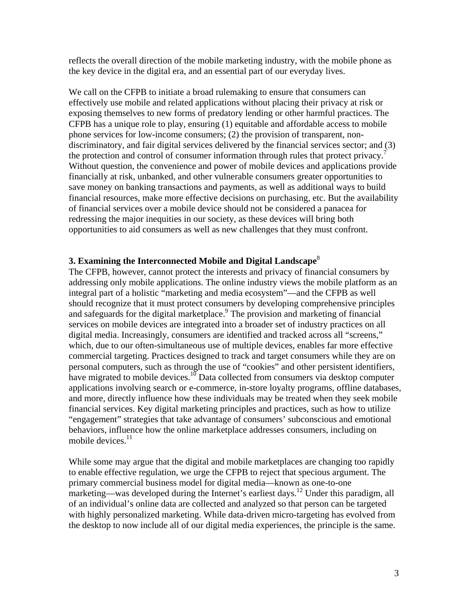reflects the overall direction of the mobile marketing industry, with the mobile phone as the key device in the digital era, and an essential part of our everyday lives.

We call on the CFPB to initiate a broad rulemaking to ensure that consumers can effectively use mobile and related applications without placing their privacy at risk or exposing themselves to new forms of predatory lending or other harmful practices. The CFPB has a unique role to play, ensuring (1) equitable and affordable access to mobile phone services for low-income consumers; (2) the provision of transparent, nondiscriminatory, and fair digital services delivered by the financial services sector; and (3) the protection and control of consumer information through rules that protect privacy.<sup>7</sup> Without question, the convenience and power of mobile devices and applications provide financially at risk, unbanked, and other vulnerable consumers greater opportunities to save money on banking transactions and payments, as well as additional ways to build financial resources, make more effective decisions on purchasing, etc. But the availability of financial services over a mobile device should not be considered a panacea for redressing the major inequities in our society, as these devices will bring both opportunities to aid consumers as well as new challenges that they must confront.

## **3. Examining the Interconnected Mobile and Digital Landscape**<sup>8</sup>

The CFPB, however, cannot protect the interests and privacy of financial consumers by addressing only mobile applications. The online industry views the mobile platform as an integral part of a holistic "marketing and media ecosystem"—and the CFPB as well should recognize that it must protect consumers by developing comprehensive principles and safeguards for the digital marketplace.<sup>9</sup> The provision and marketing of financial services on mobile devices are integrated into a broader set of industry practices on all digital media. Increasingly, consumers are identified and tracked across all "screens," which, due to our often-simultaneous use of multiple devices, enables far more effective commercial targeting. Practices designed to track and target consumers while they are on personal computers, such as through the use of "cookies" and other persistent identifiers, have migrated to mobile devices.<sup>10</sup> Data collected from consumers via desktop computer applications involving search or e-commerce, in-store loyalty programs, offline databases, and more, directly influence how these individuals may be treated when they seek mobile financial services. Key digital marketing principles and practices, such as how to utilize "engagement" strategies that take advantage of consumers' subconscious and emotional behaviors, influence how the online marketplace addresses consumers, including on mobile devices. $11$ 

While some may argue that the digital and mobile marketplaces are changing too rapidly to enable effective regulation, we urge the CFPB to reject that specious argument. The primary commercial business model for digital media—known as one-to-one marketing—was developed during the Internet's earliest days.<sup>12</sup> Under this paradigm, all of an individual's online data are collected and analyzed so that person can be targeted with highly personalized marketing. While data-driven micro-targeting has evolved from the desktop to now include all of our digital media experiences, the principle is the same.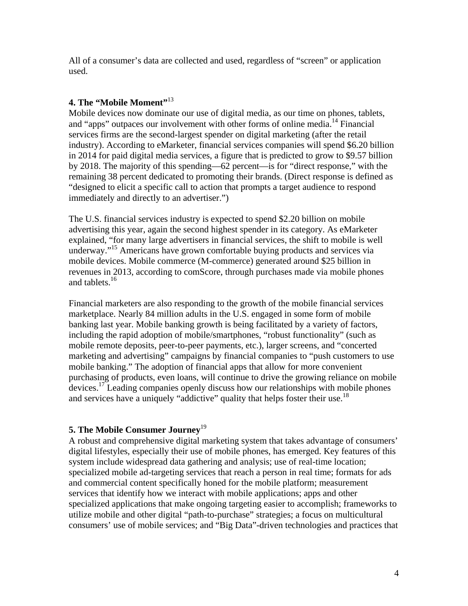All of a consumer's data are collected and used, regardless of "screen" or application used.

# **4. The "Mobile Moment"**<sup>13</sup>

Mobile devices now dominate our use of digital media, as our time on phones, tablets, and "apps" outpaces our involvement with other forms of online media.<sup>14</sup> Financial services firms are the second-largest spender on digital marketing (after the retail industry). According to eMarketer, financial services companies will spend \$6.20 billion in 2014 for paid digital media services, a figure that is predicted to grow to \$9.57 billion by 2018. The majority of this spending—62 percent—is for "direct response," with the remaining 38 percent dedicated to promoting their brands. (Direct response is defined as "designed to elicit a specific call to action that prompts a target audience to respond immediately and directly to an advertiser.")

The U.S. financial services industry is expected to spend \$2.20 billion on mobile advertising this year, again the second highest spender in its category. As eMarketer explained, "for many large advertisers in financial services, the shift to mobile is well underway."<sup>15</sup> Americans have grown comfortable buying products and services via mobile devices. Mobile commerce (M-commerce) generated around \$25 billion in revenues in 2013, according to comScore, through purchases made via mobile phones and tablets.<sup>16</sup>

Financial marketers are also responding to the growth of the mobile financial services marketplace. Nearly 84 million adults in the U.S. engaged in some form of mobile banking last year. Mobile banking growth is being facilitated by a variety of factors, including the rapid adoption of mobile/smartphones, "robust functionality" (such as mobile remote deposits, peer-to-peer payments, etc.), larger screens, and "concerted marketing and advertising" campaigns by financial companies to "push customers to use mobile banking." The adoption of financial apps that allow for more convenient purchasing of products, even loans, will continue to drive the growing reliance on mobile devices.<sup>17</sup> Leading companies openly discuss how our relationships with mobile phones and services have a uniquely "addictive" quality that helps foster their use.<sup>18</sup>

# **5. The Mobile Consumer Journey**<sup>19</sup>

A robust and comprehensive digital marketing system that takes advantage of consumers' digital lifestyles, especially their use of mobile phones, has emerged. Key features of this system include widespread data gathering and analysis; use of real-time location; specialized mobile ad-targeting services that reach a person in real time; formats for ads and commercial content specifically honed for the mobile platform; measurement services that identify how we interact with mobile applications; apps and other specialized applications that make ongoing targeting easier to accomplish; frameworks to utilize mobile and other digital "path-to-purchase" strategies; a focus on multicultural consumers' use of mobile services; and "Big Data"-driven technologies and practices that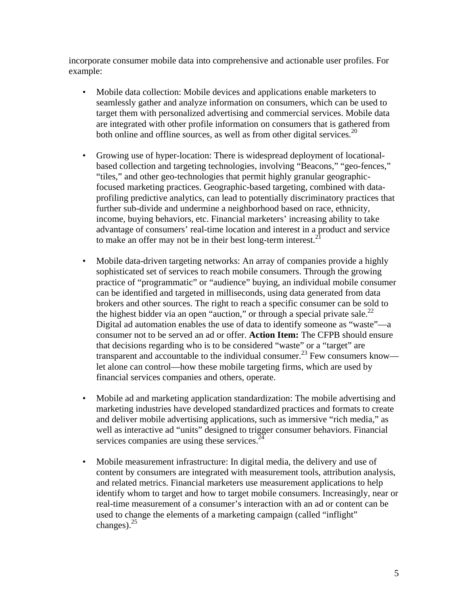incorporate consumer mobile data into comprehensive and actionable user profiles. For example:

- Mobile data collection: Mobile devices and applications enable marketers to seamlessly gather and analyze information on consumers, which can be used to target them with personalized advertising and commercial services. Mobile data are integrated with other profile information on consumers that is gathered from both online and offline sources, as well as from other digital services.<sup>20</sup>
- Growing use of hyper-location: There is widespread deployment of locationalbased collection and targeting technologies, involving "Beacons," "geo-fences," "tiles," and other geo-technologies that permit highly granular geographicfocused marketing practices. Geographic-based targeting, combined with dataprofiling predictive analytics, can lead to potentially discriminatory practices that further sub-divide and undermine a neighborhood based on race, ethnicity, income, buying behaviors, etc. Financial marketers' increasing ability to take advantage of consumers' real-time location and interest in a product and service to make an offer may not be in their best long-term interest. $<sup>2</sup>$ </sup>
- Mobile data-driven targeting networks: An array of companies provide a highly sophisticated set of services to reach mobile consumers. Through the growing practice of "programmatic" or "audience" buying, an individual mobile consumer can be identified and targeted in milliseconds, using data generated from data brokers and other sources. The right to reach a specific consumer can be sold to the highest bidder via an open "auction," or through a special private sale.<sup>22</sup> Digital ad automation enables the use of data to identify someone as "waste"—a consumer not to be served an ad or offer. **Action Item:** The CFPB should ensure that decisions regarding who is to be considered "waste" or a "target" are transparent and accountable to the individual consumer.<sup>23</sup> Few consumers know let alone can control—how these mobile targeting firms, which are used by financial services companies and others, operate.
- Mobile ad and marketing application standardization: The mobile advertising and marketing industries have developed standardized practices and formats to create and deliver mobile advertising applications, such as immersive "rich media," as well as interactive ad "units" designed to trigger consumer behaviors. Financial services companies are using these services. $2^2$
- Mobile measurement infrastructure: In digital media, the delivery and use of content by consumers are integrated with measurement tools, attribution analysis, and related metrics. Financial marketers use measurement applications to help identify whom to target and how to target mobile consumers. Increasingly, near or real-time measurement of a consumer's interaction with an ad or content can be used to change the elements of a marketing campaign (called "inflight" changes). $^{25}$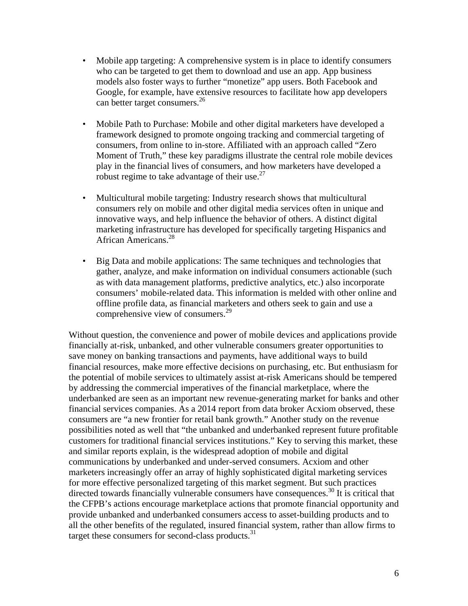- Mobile app targeting: A comprehensive system is in place to identify consumers who can be targeted to get them to download and use an app. App business models also foster ways to further "monetize" app users. Both Facebook and Google, for example, have extensive resources to facilitate how app developers can better target consumers.<sup>26</sup>
- Mobile Path to Purchase: Mobile and other digital marketers have developed a framework designed to promote ongoing tracking and commercial targeting of consumers, from online to in-store. Affiliated with an approach called "Zero Moment of Truth," these key paradigms illustrate the central role mobile devices play in the financial lives of consumers, and how marketers have developed a robust regime to take advantage of their use.<sup>27</sup>
- Multicultural mobile targeting: Industry research shows that multicultural consumers rely on mobile and other digital media services often in unique and innovative ways, and help influence the behavior of others. A distinct digital marketing infrastructure has developed for specifically targeting Hispanics and African Americans.<sup>28</sup>
- Big Data and mobile applications: The same techniques and technologies that gather, analyze, and make information on individual consumers actionable (such as with data management platforms, predictive analytics, etc.) also incorporate consumers' mobile-related data. This information is melded with other online and offline profile data, as financial marketers and others seek to gain and use a comprehensive view of consumers. $^{29}$

Without question, the convenience and power of mobile devices and applications provide financially at-risk, unbanked, and other vulnerable consumers greater opportunities to save money on banking transactions and payments, have additional ways to build financial resources, make more effective decisions on purchasing, etc. But enthusiasm for the potential of mobile services to ultimately assist at-risk Americans should be tempered by addressing the commercial imperatives of the financial marketplace, where the underbanked are seen as an important new revenue-generating market for banks and other financial services companies. As a 2014 report from data broker Acxiom observed, these consumers are "a new frontier for retail bank growth." Another study on the revenue possibilities noted as well that "the unbanked and underbanked represent future profitable customers for traditional financial services institutions." Key to serving this market, these and similar reports explain, is the widespread adoption of mobile and digital communications by underbanked and under-served consumers. Acxiom and other marketers increasingly offer an array of highly sophisticated digital marketing services for more effective personalized targeting of this market segment. But such practices directed towards financially vulnerable consumers have consequences.<sup>30</sup> It is critical that the CFPB's actions encourage marketplace actions that promote financial opportunity and provide unbanked and underbanked consumers access to asset-building products and to all the other benefits of the regulated, insured financial system, rather than allow firms to target these consumers for second-class products.<sup>31</sup>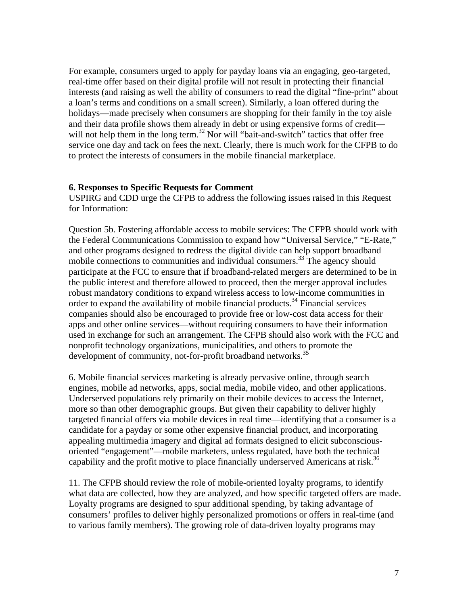For example, consumers urged to apply for payday loans via an engaging, geo-targeted, real-time offer based on their digital profile will not result in protecting their financial interests (and raising as well the ability of consumers to read the digital "fine-print" about a loan's terms and conditions on a small screen). Similarly, a loan offered during the holidays—made precisely when consumers are shopping for their family in the toy aisle and their data profile shows them already in debt or using expensive forms of credit will not help them in the long term.<sup>32</sup> Nor will "bait-and-switch" tactics that offer free service one day and tack on fees the next. Clearly, there is much work for the CFPB to do to protect the interests of consumers in the mobile financial marketplace.

## **6. Responses to Specific Requests for Comment**

USPIRG and CDD urge the CFPB to address the following issues raised in this Request for Information:

Question 5b. Fostering affordable access to mobile services: The CFPB should work with the Federal Communications Commission to expand how "Universal Service," "E-Rate," and other programs designed to redress the digital divide can help support broadband mobile connections to communities and individual consumers.<sup>33</sup> The agency should participate at the FCC to ensure that if broadband-related mergers are determined to be in the public interest and therefore allowed to proceed, then the merger approval includes robust mandatory conditions to expand wireless access to low-income communities in order to expand the availability of mobile financial products.<sup>34</sup> Financial services companies should also be encouraged to provide free or low-cost data access for their apps and other online services—without requiring consumers to have their information used in exchange for such an arrangement. The CFPB should also work with the FCC and nonprofit technology organizations, municipalities, and others to promote the development of community, not-for-profit broadband networks.<sup>35</sup>

6. Mobile financial services marketing is already pervasive online, through search engines, mobile ad networks, apps, social media, mobile video, and other applications. Underserved populations rely primarily on their mobile devices to access the Internet, more so than other demographic groups. But given their capability to deliver highly targeted financial offers via mobile devices in real time—identifying that a consumer is a candidate for a payday or some other expensive financial product, and incorporating appealing multimedia imagery and digital ad formats designed to elicit subconsciousoriented "engagement"—mobile marketers, unless regulated, have both the technical capability and the profit motive to place financially underserved Americans at risk.<sup>36</sup>

11. The CFPB should review the role of mobile-oriented loyalty programs, to identify what data are collected, how they are analyzed, and how specific targeted offers are made. Loyalty programs are designed to spur additional spending, by taking advantage of consumers' profiles to deliver highly personalized promotions or offers in real-time (and to various family members). The growing role of data-driven loyalty programs may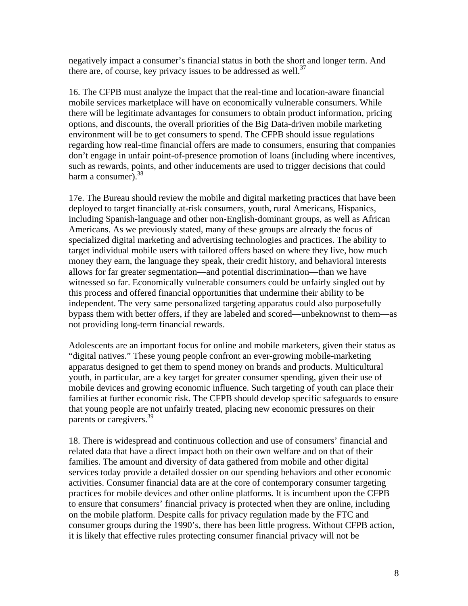negatively impact a consumer's financial status in both the short and longer term. And there are, of course, key privacy issues to be addressed as well.<sup>37</sup>

16. The CFPB must analyze the impact that the real-time and location-aware financial mobile services marketplace will have on economically vulnerable consumers. While there will be legitimate advantages for consumers to obtain product information, pricing options, and discounts, the overall priorities of the Big Data-driven mobile marketing environment will be to get consumers to spend. The CFPB should issue regulations regarding how real-time financial offers are made to consumers, ensuring that companies don't engage in unfair point-of-presence promotion of loans (including where incentives, such as rewards, points, and other inducements are used to trigger decisions that could harm a consumer).  $38$ 

17e. The Bureau should review the mobile and digital marketing practices that have been deployed to target financially at-risk consumers, youth, rural Americans, Hispanics, including Spanish-language and other non-English-dominant groups, as well as African Americans. As we previously stated, many of these groups are already the focus of specialized digital marketing and advertising technologies and practices. The ability to target individual mobile users with tailored offers based on where they live, how much money they earn, the language they speak, their credit history, and behavioral interests allows for far greater segmentation—and potential discrimination—than we have witnessed so far. Economically vulnerable consumers could be unfairly singled out by this process and offered financial opportunities that undermine their ability to be independent. The very same personalized targeting apparatus could also purposefully bypass them with better offers, if they are labeled and scored—unbeknownst to them—as not providing long-term financial rewards.

Adolescents are an important focus for online and mobile marketers, given their status as "digital natives." These young people confront an ever-growing mobile-marketing apparatus designed to get them to spend money on brands and products. Multicultural youth, in particular, are a key target for greater consumer spending, given their use of mobile devices and growing economic influence. Such targeting of youth can place their families at further economic risk. The CFPB should develop specific safeguards to ensure that young people are not unfairly treated, placing new economic pressures on their parents or caregivers.<sup>39</sup>

18. There is widespread and continuous collection and use of consumers' financial and related data that have a direct impact both on their own welfare and on that of their families. The amount and diversity of data gathered from mobile and other digital services today provide a detailed dossier on our spending behaviors and other economic activities. Consumer financial data are at the core of contemporary consumer targeting practices for mobile devices and other online platforms. It is incumbent upon the CFPB to ensure that consumers' financial privacy is protected when they are online, including on the mobile platform. Despite calls for privacy regulation made by the FTC and consumer groups during the 1990's, there has been little progress. Without CFPB action, it is likely that effective rules protecting consumer financial privacy will not be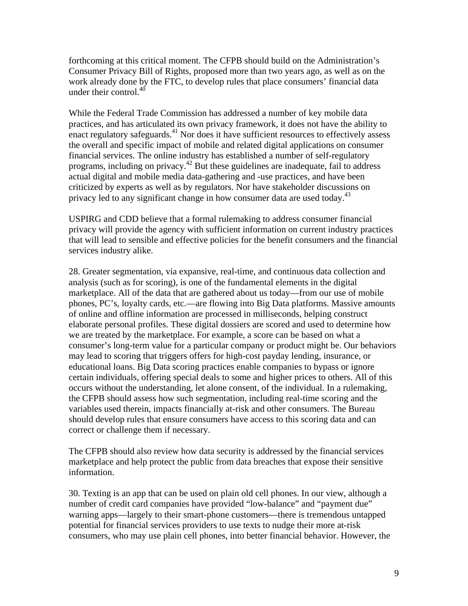forthcoming at this critical moment. The CFPB should build on the Administration's Consumer Privacy Bill of Rights, proposed more than two years ago, as well as on the work already done by the FTC, to develop rules that place consumers' financial data under their control. $40$ 

While the Federal Trade Commission has addressed a number of key mobile data practices, and has articulated its own privacy framework, it does not have the ability to enact regulatory safeguards. $41$  Nor does it have sufficient resources to effectively assess the overall and specific impact of mobile and related digital applications on consumer financial services. The online industry has established a number of self-regulatory programs, including on privacy.42 But these guidelines are inadequate, fail to address actual digital and mobile media data-gathering and -use practices, and have been criticized by experts as well as by regulators. Nor have stakeholder discussions on privacy led to any significant change in how consumer data are used today.<sup>43</sup>

USPIRG and CDD believe that a formal rulemaking to address consumer financial privacy will provide the agency with sufficient information on current industry practices that will lead to sensible and effective policies for the benefit consumers and the financial services industry alike.

28. Greater segmentation, via expansive, real-time, and continuous data collection and analysis (such as for scoring), is one of the fundamental elements in the digital marketplace. All of the data that are gathered about us today—from our use of mobile phones, PC's, loyalty cards, etc.—are flowing into Big Data platforms. Massive amounts of online and offline information are processed in milliseconds, helping construct elaborate personal profiles. These digital dossiers are scored and used to determine how we are treated by the marketplace. For example, a score can be based on what a consumer's long-term value for a particular company or product might be. Our behaviors may lead to scoring that triggers offers for high-cost payday lending, insurance, or educational loans. Big Data scoring practices enable companies to bypass or ignore certain individuals, offering special deals to some and higher prices to others. All of this occurs without the understanding, let alone consent, of the individual. In a rulemaking, the CFPB should assess how such segmentation, including real-time scoring and the variables used therein, impacts financially at-risk and other consumers. The Bureau should develop rules that ensure consumers have access to this scoring data and can correct or challenge them if necessary.

The CFPB should also review how data security is addressed by the financial services marketplace and help protect the public from data breaches that expose their sensitive information.

30. Texting is an app that can be used on plain old cell phones. In our view, although a number of credit card companies have provided "low-balance" and "payment due" warning apps—largely to their smart-phone customers—there is tremendous untapped potential for financial services providers to use texts to nudge their more at-risk consumers, who may use plain cell phones, into better financial behavior. However, the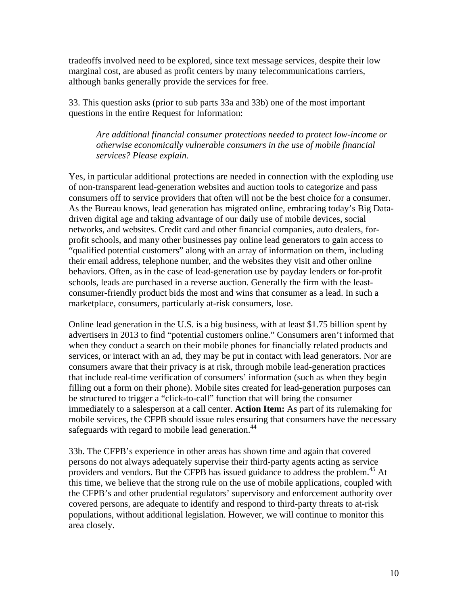tradeoffs involved need to be explored, since text message services, despite their low marginal cost, are abused as profit centers by many telecommunications carriers, although banks generally provide the services for free.

33. This question asks (prior to sub parts 33a and 33b) one of the most important questions in the entire Request for Information:

*Are additional financial consumer protections needed to protect low-income or otherwise economically vulnerable consumers in the use of mobile financial services? Please explain.* 

Yes, in particular additional protections are needed in connection with the exploding use of non-transparent lead-generation websites and auction tools to categorize and pass consumers off to service providers that often will not be the best choice for a consumer. As the Bureau knows, lead generation has migrated online, embracing today's Big Datadriven digital age and taking advantage of our daily use of mobile devices, social networks, and websites. Credit card and other financial companies, auto dealers, forprofit schools, and many other businesses pay online lead generators to gain access to "qualified potential customers" along with an array of information on them, including their email address, telephone number, and the websites they visit and other online behaviors. Often, as in the case of lead-generation use by payday lenders or for-profit schools, leads are purchased in a reverse auction. Generally the firm with the leastconsumer-friendly product bids the most and wins that consumer as a lead. In such a marketplace, consumers, particularly at-risk consumers, lose.

Online lead generation in the U.S. is a big business, with at least \$1.75 billion spent by advertisers in 2013 to find "potential customers online." Consumers aren't informed that when they conduct a search on their mobile phones for financially related products and services, or interact with an ad, they may be put in contact with lead generators. Nor are consumers aware that their privacy is at risk, through mobile lead-generation practices that include real-time verification of consumers' information (such as when they begin filling out a form on their phone). Mobile sites created for lead-generation purposes can be structured to trigger a "click-to-call" function that will bring the consumer immediately to a salesperson at a call center. **Action Item:** As part of its rulemaking for mobile services, the CFPB should issue rules ensuring that consumers have the necessary safeguards with regard to mobile lead generation.<sup>44</sup>

33b. The CFPB's experience in other areas has shown time and again that covered persons do not always adequately supervise their third-party agents acting as service providers and vendors. But the CFPB has issued guidance to address the problem.<sup>45</sup> At this time, we believe that the strong rule on the use of mobile applications, coupled with the CFPB's and other prudential regulators' supervisory and enforcement authority over covered persons, are adequate to identify and respond to third-party threats to at-risk populations, without additional legislation. However, we will continue to monitor this area closely.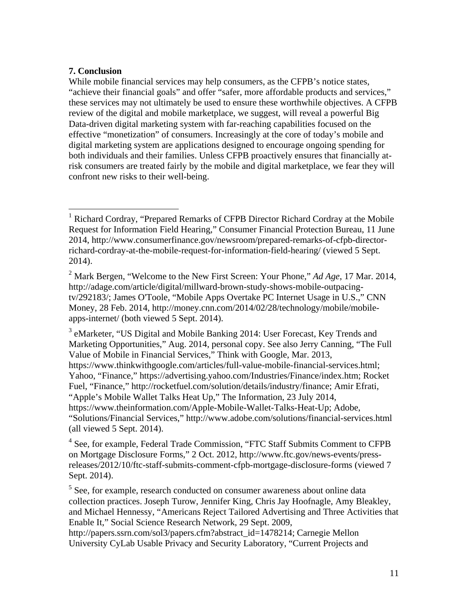# **7. Conclusion**

 $\overline{a}$ 

While mobile financial services may help consumers, as the CFPB's notice states, "achieve their financial goals" and offer "safer, more affordable products and services," these services may not ultimately be used to ensure these worthwhile objectives. A CFPB review of the digital and mobile marketplace, we suggest, will reveal a powerful Big Data-driven digital marketing system with far-reaching capabilities focused on the effective "monetization" of consumers. Increasingly at the core of today's mobile and digital marketing system are applications designed to encourage ongoing spending for both individuals and their families. Unless CFPB proactively ensures that financially atrisk consumers are treated fairly by the mobile and digital marketplace, we fear they will confront new risks to their well-being.

<sup>3</sup> eMarketer, "US Digital and Mobile Banking 2014: User Forecast, Key Trends and Marketing Opportunities," Aug. 2014, personal copy. See also Jerry Canning, "The Full Value of Mobile in Financial Services," Think with Google, Mar. 2013, https://www.thinkwithgoogle.com/articles/full-value-mobile-financial-services.html; Yahoo, "Finance," https://advertising.yahoo.com/Industries/Finance/index.htm; Rocket Fuel, "Finance," http://rocketfuel.com/solution/details/industry/finance; Amir Efrati, "Apple's Mobile Wallet Talks Heat Up," The Information, 23 July 2014, https://www.theinformation.com/Apple-Mobile-Wallet-Talks-Heat-Up; Adobe, "Solutions/Financial Services," http://www.adobe.com/solutions/financial-services.html (all viewed 5 Sept. 2014).

<sup>4</sup> See, for example, Federal Trade Commission, "FTC Staff Submits Comment to CFPB on Mortgage Disclosure Forms," 2 Oct. 2012, http://www.ftc.gov/news-events/pressreleases/2012/10/ftc-staff-submits-comment-cfpb-mortgage-disclosure-forms (viewed 7 Sept. 2014).

<sup>5</sup> See, for example, research conducted on consumer awareness about online data collection practices. Joseph Turow, Jennifer King, Chris Jay Hoofnagle, Amy Bleakley, and Michael Hennessy, "Americans Reject Tailored Advertising and Three Activities that Enable It," Social Science Research Network, 29 Sept. 2009,

http://papers.ssrn.com/sol3/papers.cfm?abstract\_id=1478214; Carnegie Mellon University CyLab Usable Privacy and Security Laboratory, "Current Projects and

<sup>1</sup> Richard Cordray, "Prepared Remarks of CFPB Director Richard Cordray at the Mobile Request for Information Field Hearing," Consumer Financial Protection Bureau, 11 June 2014, http://www.consumerfinance.gov/newsroom/prepared-remarks-of-cfpb-directorrichard-cordray-at-the-mobile-request-for-information-field-hearing/ (viewed 5 Sept. 2014).

<sup>2</sup> Mark Bergen, "Welcome to the New First Screen: Your Phone," *Ad Age*, 17 Mar. 2014, http://adage.com/article/digital/millward-brown-study-shows-mobile-outpacingtv/292183/; James O'Toole, "Mobile Apps Overtake PC Internet Usage in U.S.," CNN Money, 28 Feb. 2014, http://money.cnn.com/2014/02/28/technology/mobile/mobileapps-internet/ (both viewed 5 Sept. 2014).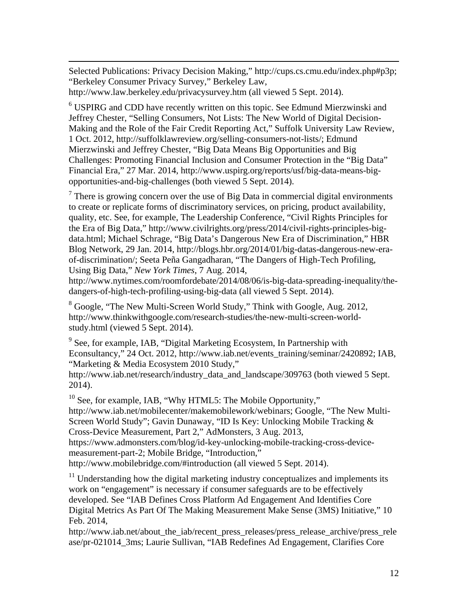Selected Publications: Privacy Decision Making," http://cups.cs.cmu.edu/index.php#p3p; "Berkeley Consumer Privacy Survey," Berkeley Law, http://www.law.berkeley.edu/privacysurvey.htm (all viewed 5 Sept. 2014).

 $\overline{a}$ 

<sup>6</sup> USPIRG and CDD have recently written on this topic. See Edmund Mierzwinski and Jeffrey Chester, "Selling Consumers, Not Lists: The New World of Digital Decision-Making and the Role of the Fair Credit Reporting Act," Suffolk University Law Review, 1 Oct. 2012, http://suffolklawreview.org/selling-consumers-not-lists/; Edmund Mierzwinski and Jeffrey Chester, "Big Data Means Big Opportunities and Big Challenges: Promoting Financial Inclusion and Consumer Protection in the "Big Data" Financial Era," 27 Mar. 2014, http://www.uspirg.org/reports/usf/big-data-means-bigopportunities-and-big-challenges (both viewed 5 Sept. 2014).

 $7$  There is growing concern over the use of Big Data in commercial digital environments to create or replicate forms of discriminatory services, on pricing, product availability, quality, etc. See, for example, The Leadership Conference, "Civil Rights Principles for the Era of Big Data," http://www.civilrights.org/press/2014/civil-rights-principles-bigdata.html; Michael Schrage, "Big Data's Dangerous New Era of Discrimination," HBR Blog Network, 29 Jan. 2014, http://blogs.hbr.org/2014/01/big-datas-dangerous-new-eraof-discrimination/; Seeta Peña Gangadharan, "The Dangers of High-Tech Profiling, Using Big Data," *New York Times*, 7 Aug. 2014,

http://www.nytimes.com/roomfordebate/2014/08/06/is-big-data-spreading-inequality/thedangers-of-high-tech-profiling-using-big-data (all viewed 5 Sept. 2014).

<sup>8</sup> Google, "The New Multi-Screen World Study," Think with Google, Aug. 2012, http://www.thinkwithgoogle.com/research-studies/the-new-multi-screen-worldstudy.html (viewed 5 Sept. 2014).

<sup>9</sup> See, for example, IAB, "Digital Marketing Ecosystem, In Partnership with Econsultancy," 24 Oct. 2012, http://www.iab.net/events\_training/seminar/2420892; IAB, "Marketing & Media Ecosystem 2010 Study,"

http://www.iab.net/research/industry\_data\_and\_landscape/309763 (both viewed 5 Sept. 2014).

<sup>10</sup> See, for example, IAB, "Why HTML5: The Mobile Opportunity," http://www.iab.net/mobilecenter/makemobilework/webinars; Google, "The New Multi-Screen World Study"; Gavin Dunaway, "ID Is Key: Unlocking Mobile Tracking & Cross-Device Measurement, Part 2," AdMonsters, 3 Aug. 2013, https://www.admonsters.com/blog/id-key-unlocking-mobile-tracking-cross-devicemeasurement-part-2; Mobile Bridge, "Introduction," http://www.mobilebridge.com/#introduction (all viewed 5 Sept. 2014).

 $11$  Understanding how the digital marketing industry conceptualizes and implements its work on "engagement" is necessary if consumer safeguards are to be effectively developed. See "IAB Defines Cross Platform Ad Engagement And Identifies Core Digital Metrics As Part Of The Making Measurement Make Sense (3MS) Initiative," 10 Feb. 2014,

http://www.iab.net/about\_the\_iab/recent\_press\_releases/press\_release\_archive/press\_rele ase/pr-021014\_3ms; Laurie Sullivan, "IAB Redefines Ad Engagement, Clarifies Core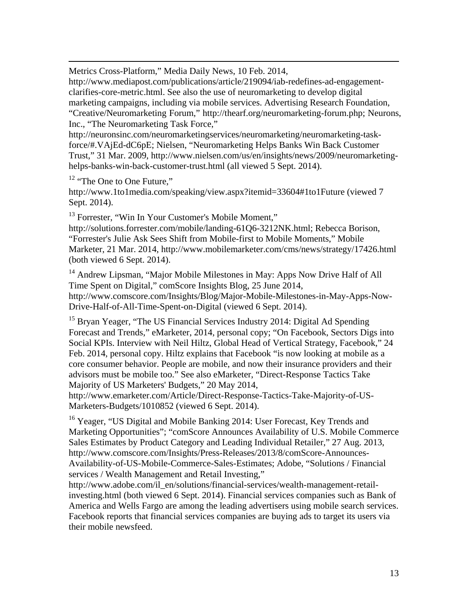Metrics Cross-Platform," Media Daily News, 10 Feb. 2014,

http://www.mediapost.com/publications/article/219094/iab-redefines-ad-engagementclarifies-core-metric.html. See also the use of neuromarketing to develop digital marketing campaigns, including via mobile services. Advertising Research Foundation, "Creative/Neuromarketing Forum," http://thearf.org/neuromarketing-forum.php; Neurons, Inc., "The Neuromarketing Task Force,"

http://neuronsinc.com/neuromarketingservices/neuromarketing/neuromarketing-taskforce/#.VAjEd-dC6pE; Nielsen, "Neuromarketing Helps Banks Win Back Customer Trust," 31 Mar. 2009, http://www.nielsen.com/us/en/insights/news/2009/neuromarketinghelps-banks-win-back-customer-trust.html (all viewed 5 Sept. 2014).

<sup>12</sup> "The One to One Future,"

 $\overline{a}$ 

http://www.1to1media.com/speaking/view.aspx?itemid=33604#1to1Future (viewed 7 Sept. 2014).

<sup>13</sup> Forrester, "Win In Your Customer's Mobile Moment,"

http://solutions.forrester.com/mobile/landing-61Q6-3212NK.html; Rebecca Borison, "Forrester's Julie Ask Sees Shift from Mobile-first to Mobile Moments," Mobile Marketer, 21 Mar. 2014, http://www.mobilemarketer.com/cms/news/strategy/17426.html (both viewed 6 Sept. 2014).

<sup>14</sup> Andrew Lipsman, "Major Mobile Milestones in May: Apps Now Drive Half of All Time Spent on Digital," comScore Insights Blog, 25 June 2014, http://www.comscore.com/Insights/Blog/Major-Mobile-Milestones-in-May-Apps-Now-Drive-Half-of-All-Time-Spent-on-Digital (viewed 6 Sept. 2014).

<sup>15</sup> Bryan Yeager, "The US Financial Services Industry 2014: Digital Ad Spending Forecast and Trends," eMarketer, 2014, personal copy; "On Facebook, Sectors Digs into Social KPIs. Interview with Neil Hiltz, Global Head of Vertical Strategy, Facebook," 24 Feb. 2014, personal copy. Hiltz explains that Facebook "is now looking at mobile as a core consumer behavior. People are mobile, and now their insurance providers and their advisors must be mobile too." See also eMarketer, "Direct-Response Tactics Take Majority of US Marketers' Budgets," 20 May 2014,

http://www.emarketer.com/Article/Direct-Response-Tactics-Take-Majority-of-US-Marketers-Budgets/1010852 (viewed 6 Sept. 2014).

<sup>16</sup> Yeager, "US Digital and Mobile Banking 2014: User Forecast, Key Trends and Marketing Opportunities"; "comScore Announces Availability of U.S. Mobile Commerce Sales Estimates by Product Category and Leading Individual Retailer," 27 Aug. 2013, http://www.comscore.com/Insights/Press-Releases/2013/8/comScore-Announces-Availability-of-US-Mobile-Commerce-Sales-Estimates; Adobe, "Solutions / Financial services / Wealth Management and Retail Investing,"

http://www.adobe.com/il\_en/solutions/financial-services/wealth-management-retailinvesting.html (both viewed 6 Sept. 2014). Financial services companies such as Bank of America and Wells Fargo are among the leading advertisers using mobile search services. Facebook reports that financial services companies are buying ads to target its users via their mobile newsfeed.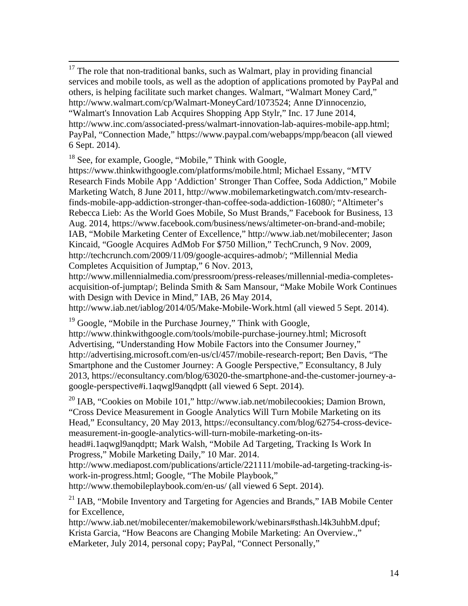<sup>17</sup> The role that non-traditional banks, such as Walmart, play in providing financial services and mobile tools, as well as the adoption of applications promoted by PayPal and others, is helping facilitate such market changes. Walmart, "Walmart Money Card," http://www.walmart.com/cp/Walmart-MoneyCard/1073524; Anne D'innocenzio, "Walmart's Innovation Lab Acquires Shopping App Stylr," Inc. 17 June 2014, http://www.inc.com/associated-press/walmart-innovation-lab-aquires-mobile-app.html; PayPal, "Connection Made," https://www.paypal.com/webapps/mpp/beacon (all viewed 6 Sept. 2014).

<sup>18</sup> See, for example, Google, "Mobile," Think with Google,

https://www.thinkwithgoogle.com/platforms/mobile.html; Michael Essany, "MTV Research Finds Mobile App 'Addiction' Stronger Than Coffee, Soda Addiction," Mobile Marketing Watch, 8 June 2011, http://www.mobilemarketingwatch.com/mtv-researchfinds-mobile-app-addiction-stronger-than-coffee-soda-addiction-16080/; "Altimeter's Rebecca Lieb: As the World Goes Mobile, So Must Brands," Facebook for Business, 13 Aug. 2014, https://www.facebook.com/business/news/altimeter-on-brand-and-mobile; IAB, "Mobile Marketing Center of Excellence," http://www.iab.net/mobilecenter; Jason Kincaid, "Google Acquires AdMob For \$750 Million," TechCrunch, 9 Nov. 2009, http://techcrunch.com/2009/11/09/google-acquires-admob/; "Millennial Media Completes Acquisition of Jumptap," 6 Nov. 2013,

http://www.millennialmedia.com/pressroom/press-releases/millennial-media-completesacquisition-of-jumptap/; Belinda Smith & Sam Mansour, "Make Mobile Work Continues with Design with Device in Mind," IAB, 26 May 2014,

http://www.iab.net/iablog/2014/05/Make-Mobile-Work.html (all viewed 5 Sept. 2014).

<sup>19</sup> Google, "Mobile in the Purchase Journey," Think with Google,

http://www.thinkwithgoogle.com/tools/mobile-purchase-journey.html; Microsoft Advertising, "Understanding How Mobile Factors into the Consumer Journey," http://advertising.microsoft.com/en-us/cl/457/mobile-research-report; Ben Davis, "The Smartphone and the Customer Journey: A Google Perspective," Econsultancy, 8 July 2013, https://econsultancy.com/blog/63020-the-smartphone-and-the-customer-journey-agoogle-perspective#i.1aqwgl9anqdptt (all viewed 6 Sept. 2014).

 $^{20}$  IAB, "Cookies on Mobile 101," http://www.iab.net/mobilecookies; Damion Brown, "Cross Device Measurement in Google Analytics Will Turn Mobile Marketing on its Head," Econsultancy, 20 May 2013, https://econsultancy.com/blog/62754-cross-devicemeasurement-in-google-analytics-will-turn-mobile-marketing-on-its-

head#i.1aqwgl9anqdptt; Mark Walsh, "Mobile Ad Targeting, Tracking Is Work In Progress," Mobile Marketing Daily," 10 Mar. 2014.

http://www.mediapost.com/publications/article/221111/mobile-ad-targeting-tracking-iswork-in-progress.html; Google, "The Mobile Playbook,"

http://www.themobileplaybook.com/en-us/ (all viewed 6 Sept. 2014).

<sup>21</sup> IAB, "Mobile Inventory and Targeting for Agencies and Brands," IAB Mobile Center for Excellence,

http://www.iab.net/mobilecenter/makemobilework/webinars#sthash.l4k3uhbM.dpuf; Krista Garcia, "How Beacons are Changing Mobile Marketing: An Overview.," eMarketer, July 2014, personal copy; PayPal, "Connect Personally,"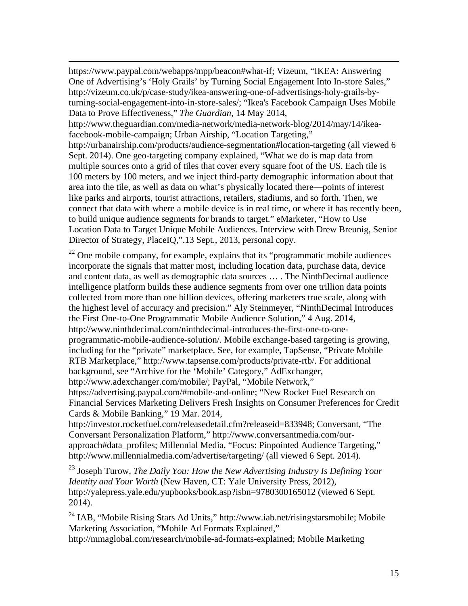https://www.paypal.com/webapps/mpp/beacon#what-if; Vizeum, "IKEA: Answering One of Advertising's 'Holy Grails' by Turning Social Engagement Into In-store Sales," http://vizeum.co.uk/p/case-study/ikea-answering-one-of-advertisings-holy-grails-byturning-social-engagement-into-in-store-sales/; "Ikea's Facebook Campaign Uses Mobile Data to Prove Effectiveness," *The Guardian*, 14 May 2014,

 $\overline{a}$ 

http://www.theguardian.com/media-network/media-network-blog/2014/may/14/ikeafacebook-mobile-campaign; Urban Airship, "Location Targeting,"

http://urbanairship.com/products/audience-segmentation#location-targeting (all viewed 6 Sept. 2014). One geo-targeting company explained, "What we do is map data from multiple sources onto a grid of tiles that cover every square foot of the US. Each tile is 100 meters by 100 meters, and we inject third-party demographic information about that area into the tile, as well as data on what's physically located there—points of interest like parks and airports, tourist attractions, retailers, stadiums, and so forth. Then, we connect that data with where a mobile device is in real time, or where it has recently been, to build unique audience segments for brands to target." eMarketer, "How to Use Location Data to Target Unique Mobile Audiences. Interview with Drew Breunig, Senior Director of Strategy, PlaceIQ,".13 Sept., 2013, personal copy.

 $22$  One mobile company, for example, explains that its "programmatic mobile audiences" incorporate the signals that matter most, including location data, purchase data, device and content data, as well as demographic data sources … . The NinthDecimal audience intelligence platform builds these audience segments from over one trillion data points collected from more than one billion devices, offering marketers true scale, along with the highest level of accuracy and precision." Aly Steinmeyer, "NinthDecimal Introduces the First One-to-One Programmatic Mobile Audience Solution," 4 Aug. 2014, http://www.ninthdecimal.com/ninthdecimal-introduces-the-first-one-to-oneprogrammatic-mobile-audience-solution/. Mobile exchange-based targeting is growing, including for the "private" marketplace. See, for example, TapSense, "Private Mobile RTB Marketplace," http://www.tapsense.com/products/private-rtb/. For additional background, see "Archive for the 'Mobile' Category," AdExchanger, http://www.adexchanger.com/mobile/; PayPal, "Mobile Network," https://advertising.paypal.com/#mobile-and-online; "New Rocket Fuel Research on Financial Services Marketing Delivers Fresh Insights on Consumer Preferences for Credit Cards & Mobile Banking," 19 Mar. 2014,

http://investor.rocketfuel.com/releasedetail.cfm?releaseid=833948; Conversant, "The Conversant Personalization Platform," http://www.conversantmedia.com/ourapproach#data\_profiles; Millennial Media, "Focus: Pinpointed Audience Targeting," http://www.millennialmedia.com/advertise/targeting/ (all viewed 6 Sept. 2014).

23 Joseph Turow, *The Daily You: How the New Advertising Industry Is Defining Your Identity and Your Worth* (New Haven, CT: Yale University Press, 2012), http://yalepress.yale.edu/yupbooks/book.asp?isbn=9780300165012 (viewed 6 Sept. 2014).

24 IAB, "Mobile Rising Stars Ad Units," http://www.iab.net/risingstarsmobile; Mobile Marketing Association, "Mobile Ad Formats Explained,"

http://mmaglobal.com/research/mobile-ad-formats-explained; Mobile Marketing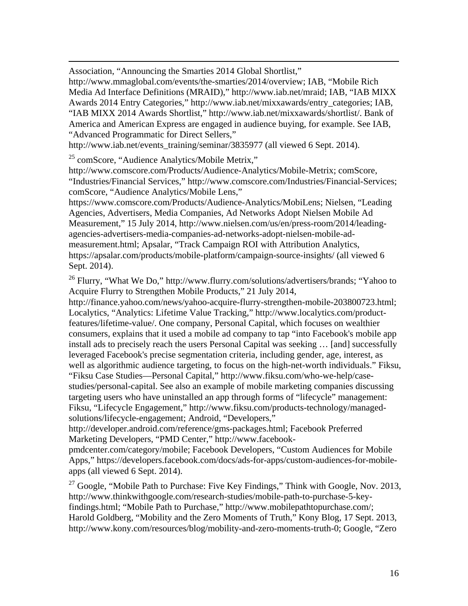Association, "Announcing the Smarties 2014 Global Shortlist,"

http://www.mmaglobal.com/events/the-smarties/2014/overview; IAB, "Mobile Rich Media Ad Interface Definitions (MRAID)," http://www.iab.net/mraid; IAB, "IAB MIXX Awards 2014 Entry Categories," http://www.iab.net/mixxawards/entry\_categories; IAB, "IAB MIXX 2014 Awards Shortlist," http://www.iab.net/mixxawards/shortlist/. Bank of America and American Express are engaged in audience buying, for example. See IAB, "Advanced Programmatic for Direct Sellers,"

http://www.iab.net/events\_training/seminar/3835977 (all viewed 6 Sept. 2014).

 $^{25}$  comScore, "Audience Analytics/Mobile Metrix,"

 $\overline{a}$ 

http://www.comscore.com/Products/Audience-Analytics/Mobile-Metrix; comScore, "Industries/Financial Services," http://www.comscore.com/Industries/Financial-Services; comScore, "Audience Analytics/Mobile Lens,"

https://www.comscore.com/Products/Audience-Analytics/MobiLens; Nielsen, "Leading Agencies, Advertisers, Media Companies, Ad Networks Adopt Nielsen Mobile Ad Measurement," 15 July 2014, http://www.nielsen.com/us/en/press-room/2014/leadingagencies-advertisers-media-companies-ad-networks-adopt-nielsen-mobile-admeasurement.html; Apsalar, "Track Campaign ROI with Attribution Analytics, https://apsalar.com/products/mobile-platform/campaign-source-insights/ (all viewed 6 Sept. 2014).

<sup>26</sup> Flurry, "What We Do," http://www.flurry.com/solutions/advertisers/brands; "Yahoo to Acquire Flurry to Strengthen Mobile Products," 21 July 2014,

http://finance.yahoo.com/news/yahoo-acquire-flurry-strengthen-mobile-203800723.html; Localytics, "Analytics: Lifetime Value Tracking," http://www.localytics.com/productfeatures/lifetime-value/. One company, Personal Capital, which focuses on wealthier consumers, explains that it used a mobile ad company to tap "into Facebook's mobile app install ads to precisely reach the users Personal Capital was seeking … [and] successfully leveraged Facebook's precise segmentation criteria, including gender, age, interest, as well as algorithmic audience targeting, to focus on the high-net-worth individuals." Fiksu, "Fiksu Case Studies—Personal Capital," http://www.fiksu.com/who-we-help/casestudies/personal-capital. See also an example of mobile marketing companies discussing targeting users who have uninstalled an app through forms of "lifecycle" management: Fiksu, "Lifecycle Engagement," http://www.fiksu.com/products-technology/managedsolutions/lifecycle-engagement; Android, "Developers,"

http://developer.android.com/reference/gms-packages.html; Facebook Preferred Marketing Developers, "PMD Center," http://www.facebook-

pmdcenter.com/category/mobile; Facebook Developers, "Custom Audiences for Mobile Apps," https://developers.facebook.com/docs/ads-for-apps/custom-audiences-for-mobileapps (all viewed 6 Sept. 2014).

 $27$  Google, "Mobile Path to Purchase: Five Key Findings," Think with Google, Nov. 2013, http://www.thinkwithgoogle.com/research-studies/mobile-path-to-purchase-5-keyfindings.html; "Mobile Path to Purchase," http://www.mobilepathtopurchase.com/; Harold Goldberg, "Mobility and the Zero Moments of Truth," Kony Blog, 17 Sept. 2013, http://www.kony.com/resources/blog/mobility-and-zero-moments-truth-0; Google, "Zero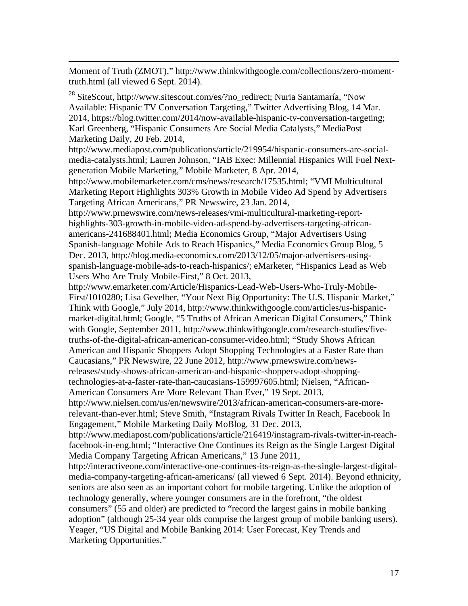Moment of Truth (ZMOT)," http://www.thinkwithgoogle.com/collections/zero-momenttruth.html (all viewed 6 Sept. 2014).

 $\overline{a}$ 

<sup>28</sup> SiteScout, http://www.sitescout.com/es/?no\_redirect; Nuria Santamaría, "Now Available: Hispanic TV Conversation Targeting," Twitter Advertising Blog, 14 Mar. 2014, https://blog.twitter.com/2014/now-available-hispanic-tv-conversation-targeting; Karl Greenberg, "Hispanic Consumers Are Social Media Catalysts," MediaPost Marketing Daily, 20 Feb. 2014,

http://www.mediapost.com/publications/article/219954/hispanic-consumers-are-socialmedia-catalysts.html; Lauren Johnson, "IAB Exec: Millennial Hispanics Will Fuel Nextgeneration Mobile Marketing," Mobile Marketer, 8 Apr. 2014,

http://www.mobilemarketer.com/cms/news/research/17535.html; "VMI Multicultural Marketing Report Highlights 303% Growth in Mobile Video Ad Spend by Advertisers Targeting African Americans," PR Newswire, 23 Jan. 2014,

http://www.prnewswire.com/news-releases/vmi-multicultural-marketing-reporthighlights-303-growth-in-mobile-video-ad-spend-by-advertisers-targeting-africanamericans-241688401.html; Media Economics Group, "Major Advertisers Using Spanish-language Mobile Ads to Reach Hispanics," Media Economics Group Blog, 5 Dec. 2013, http://blog.media-economics.com/2013/12/05/major-advertisers-usingspanish-language-mobile-ads-to-reach-hispanics/; eMarketer, "Hispanics Lead as Web Users Who Are Truly Mobile-First," 8 Oct. 2013,

http://www.emarketer.com/Article/Hispanics-Lead-Web-Users-Who-Truly-Mobile-First/1010280; Lisa Gevelber, "Your Next Big Opportunity: The U.S. Hispanic Market," Think with Google," July 2014, http://www.thinkwithgoogle.com/articles/us-hispanicmarket-digital.html; Google, "5 Truths of African American Digital Consumers," Think with Google, September 2011, http://www.thinkwithgoogle.com/research-studies/fivetruths-of-the-digital-african-american-consumer-video.html; "Study Shows African American and Hispanic Shoppers Adopt Shopping Technologies at a Faster Rate than Caucasians," PR Newswire, 22 June 2012, http://www.prnewswire.com/newsreleases/study-shows-african-american-and-hispanic-shoppers-adopt-shoppingtechnologies-at-a-faster-rate-than-caucasians-159997605.html; Nielsen, "African-American Consumers Are More Relevant Than Ever," 19 Sept. 2013,

http://www.nielsen.com/us/en/newswire/2013/african-american-consumers-are-morerelevant-than-ever.html; Steve Smith, "Instagram Rivals Twitter In Reach, Facebook In Engagement," Mobile Marketing Daily MoBlog, 31 Dec. 2013,

http://www.mediapost.com/publications/article/216419/instagram-rivals-twitter-in-reachfacebook-in-eng.html; "Interactive One Continues its Reign as the Single Largest Digital Media Company Targeting African Americans," 13 June 2011,

http://interactiveone.com/interactive-one-continues-its-reign-as-the-single-largest-digitalmedia-company-targeting-african-americans/ (all viewed 6 Sept. 2014). Beyond ethnicity, seniors are also seen as an important cohort for mobile targeting. Unlike the adoption of technology generally, where younger consumers are in the forefront, "the oldest consumers" (55 and older) are predicted to "record the largest gains in mobile banking adoption" (although 25-34 year olds comprise the largest group of mobile banking users). Yeager, "US Digital and Mobile Banking 2014: User Forecast, Key Trends and Marketing Opportunities."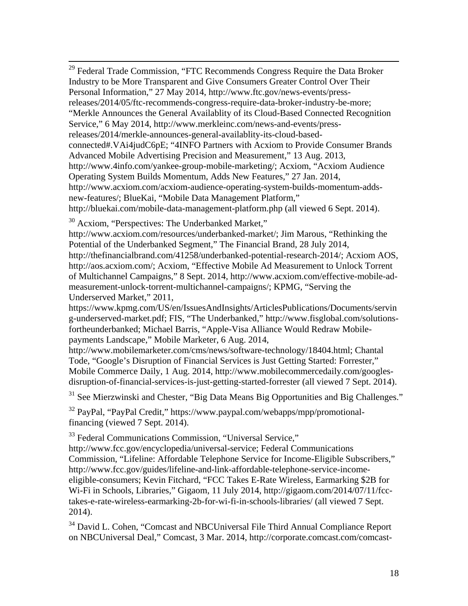<sup>29</sup> Federal Trade Commission, "FTC Recommends Congress Require the Data Broker Industry to be More Transparent and Give Consumers Greater Control Over Their Personal Information," 27 May 2014, http://www.ftc.gov/news-events/pressreleases/2014/05/ftc-recommends-congress-require-data-broker-industry-be-more; "Merkle Announces the General Availablity of its Cloud-Based Connected Recognition Service," 6 May 2014, http://www.merkleinc.com/news-and-events/pressreleases/2014/merkle-announces-general-availablity-its-cloud-basedconnected#.VAi4judC6pE; "4INFO Partners with Acxiom to Provide Consumer Brands Advanced Mobile Advertising Precision and Measurement," 13 Aug. 2013, http://www.4info.com/yankee-group-mobile-marketing/; Acxiom, "Acxiom Audience Operating System Builds Momentum, Adds New Features," 27 Jan. 2014, http://www.acxiom.com/acxiom-audience-operating-system-builds-momentum-addsnew-features/; BlueKai, "Mobile Data Management Platform," http://bluekai.com/mobile-data-management-platform.php (all viewed 6 Sept. 2014).

30 Acxiom, "Perspectives: The Underbanked Market,"

http://www.acxiom.com/resources/underbanked-market/; Jim Marous, "Rethinking the Potential of the Underbanked Segment," The Financial Brand, 28 July 2014, http://thefinancialbrand.com/41258/underbanked-potential-research-2014/; Acxiom AOS, http://aos.acxiom.com/; Acxiom, "Effective Mobile Ad Measurement to Unlock Torrent of Multichannel Campaigns," 8 Sept. 2014, http://www.acxiom.com/effective-mobile-admeasurement-unlock-torrent-multichannel-campaigns/; KPMG, "Serving the

Underserved Market," 2011,

https://www.kpmg.com/US/en/IssuesAndInsights/ArticlesPublications/Documents/servin g-underserved-market.pdf; FIS, "The Underbanked," http://www.fisglobal.com/solutionsfortheunderbanked; Michael Barris, "Apple-Visa Alliance Would Redraw Mobilepayments Landscape," Mobile Marketer, 6 Aug. 2014,

http://www.mobilemarketer.com/cms/news/software-technology/18404.html; Chantal Tode, "Google's Disruption of Financial Services is Just Getting Started: Forrester," Mobile Commerce Daily, 1 Aug. 2014, http://www.mobilecommercedaily.com/googlesdisruption-of-financial-services-is-just-getting-started-forrester (all viewed 7 Sept. 2014).

<sup>31</sup> See Mierzwinski and Chester, "Big Data Means Big Opportunities and Big Challenges."

32 PayPal, "PayPal Credit," https://www.paypal.com/webapps/mpp/promotionalfinancing (viewed 7 Sept. 2014).

<sup>33</sup> Federal Communications Commission, "Universal Service,"

http://www.fcc.gov/encyclopedia/universal-service; Federal Communications Commission, "Lifeline: Affordable Telephone Service for Income-Eligible Subscribers," http://www.fcc.gov/guides/lifeline-and-link-affordable-telephone-service-incomeeligible-consumers; Kevin Fitchard, "FCC Takes E-Rate Wireless, Earmarking \$2B for Wi-Fi in Schools, Libraries," Gigaom, 11 July 2014, http://gigaom.com/2014/07/11/fcctakes-e-rate-wireless-earmarking-2b-for-wi-fi-in-schools-libraries/ (all viewed 7 Sept. 2014).

<sup>34</sup> David L. Cohen, "Comcast and NBCUniversal File Third Annual Compliance Report on NBCUniversal Deal," Comcast, 3 Mar. 2014, http://corporate.comcast.com/comcast-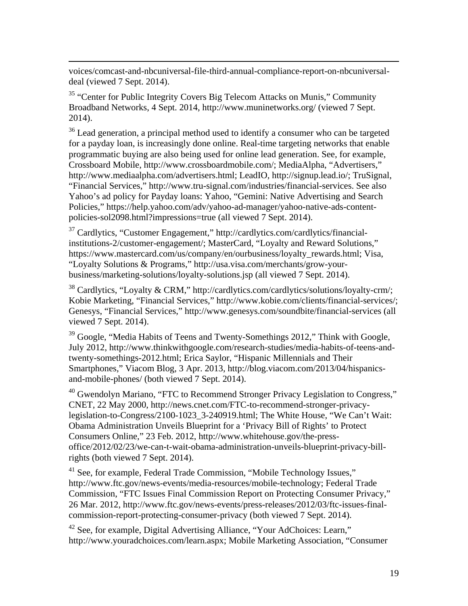voices/comcast-and-nbcuniversal-file-third-annual-compliance-report-on-nbcuniversaldeal (viewed 7 Sept. 2014).

 $\overline{a}$ 

<sup>35</sup> "Center for Public Integrity Covers Big Telecom Attacks on Munis," Community Broadband Networks, 4 Sept. 2014, http://www.muninetworks.org/ (viewed 7 Sept. 2014).

<sup>36</sup> Lead generation, a principal method used to identify a consumer who can be targeted for a payday loan, is increasingly done online. Real-time targeting networks that enable programmatic buying are also being used for online lead generation. See, for example, Crossboard Mobile, http://www.crossboardmobile.com/; MediaAlpha, "Advertisers," http://www.mediaalpha.com/advertisers.html; LeadIO, http://signup.lead.io/; TruSignal, "Financial Services," http://www.tru-signal.com/industries/financial-services. See also Yahoo's ad policy for Payday loans: Yahoo, "Gemini: Native Advertising and Search Policies," https://help.yahoo.com/adv/yahoo-ad-manager/yahoo-native-ads-contentpolicies-sol2098.html?impressions=true (all viewed 7 Sept. 2014).

37 Cardlytics, "Customer Engagement," http://cardlytics.com/cardlytics/financialinstitutions-2/customer-engagement/; MasterCard, "Loyalty and Reward Solutions," https://www.mastercard.com/us/company/en/ourbusiness/loyalty\_rewards.html; Visa, "Loyalty Solutions & Programs," http://usa.visa.com/merchants/grow-yourbusiness/marketing-solutions/loyalty-solutions.jsp (all viewed 7 Sept. 2014).

 $38$  Cardlytics, "Loyalty & CRM," http://cardlytics.com/cardlytics/solutions/loyalty-crm/; Kobie Marketing, "Financial Services," http://www.kobie.com/clients/financial-services/; Genesys, "Financial Services," http://www.genesys.com/soundbite/financial-services (all viewed 7 Sept. 2014).

<sup>39</sup> Google, "Media Habits of Teens and Twenty-Somethings 2012," Think with Google, July 2012, http://www.thinkwithgoogle.com/research-studies/media-habits-of-teens-andtwenty-somethings-2012.html; Erica Saylor, "Hispanic Millennials and Their Smartphones," Viacom Blog, 3 Apr. 2013, http://blog.viacom.com/2013/04/hispanicsand-mobile-phones/ (both viewed 7 Sept. 2014).

<sup>40</sup> Gwendolyn Mariano, "FTC to Recommend Stronger Privacy Legislation to Congress," CNET, 22 May 2000, http://news.cnet.com/FTC-to-recommend-stronger-privacylegislation-to-Congress/2100-1023\_3-240919.html; The White House, "We Can't Wait: Obama Administration Unveils Blueprint for a 'Privacy Bill of Rights' to Protect Consumers Online," 23 Feb. 2012, http://www.whitehouse.gov/the-pressoffice/2012/02/23/we-can-t-wait-obama-administration-unveils-blueprint-privacy-billrights (both viewed 7 Sept. 2014).

<sup>41</sup> See, for example, Federal Trade Commission, "Mobile Technology Issues," http://www.ftc.gov/news-events/media-resources/mobile-technology; Federal Trade Commission, "FTC Issues Final Commission Report on Protecting Consumer Privacy," 26 Mar. 2012, http://www.ftc.gov/news-events/press-releases/2012/03/ftc-issues-finalcommission-report-protecting-consumer-privacy (both viewed 7 Sept. 2014).

<sup>42</sup> See, for example, Digital Advertising Alliance, "Your AdChoices: Learn," http://www.youradchoices.com/learn.aspx; Mobile Marketing Association, "Consumer